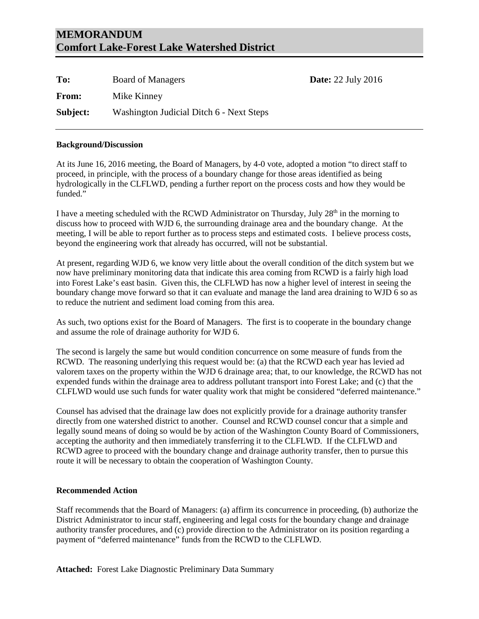## **MEMORANDUM Comfort Lake-Forest Lake Watershed District**

| To:      | Board of Managers                        | <b>Date:</b> 22 July 2016 |
|----------|------------------------------------------|---------------------------|
| From:    | Mike Kinney                              |                           |
| Subject: | Washington Judicial Ditch 6 - Next Steps |                           |

## **Background/Discussion**

At its June 16, 2016 meeting, the Board of Managers, by 4-0 vote, adopted a motion "to direct staff to proceed, in principle, with the process of a boundary change for those areas identified as being hydrologically in the CLFLWD, pending a further report on the process costs and how they would be funded."

I have a meeting scheduled with the RCWD Administrator on Thursday, July  $28<sup>th</sup>$  in the morning to discuss how to proceed with WJD 6, the surrounding drainage area and the boundary change. At the meeting, I will be able to report further as to process steps and estimated costs. I believe process costs, beyond the engineering work that already has occurred, will not be substantial.

At present, regarding WJD 6, we know very little about the overall condition of the ditch system but we now have preliminary monitoring data that indicate this area coming from RCWD is a fairly high load into Forest Lake's east basin. Given this, the CLFLWD has now a higher level of interest in seeing the boundary change move forward so that it can evaluate and manage the land area draining to WJD 6 so as to reduce the nutrient and sediment load coming from this area.

As such, two options exist for the Board of Managers. The first is to cooperate in the boundary change and assume the role of drainage authority for WJD 6.

The second is largely the same but would condition concurrence on some measure of funds from the RCWD. The reasoning underlying this request would be: (a) that the RCWD each year has levied ad valorem taxes on the property within the WJD 6 drainage area; that, to our knowledge, the RCWD has not expended funds within the drainage area to address pollutant transport into Forest Lake; and (c) that the CLFLWD would use such funds for water quality work that might be considered "deferred maintenance."

Counsel has advised that the drainage law does not explicitly provide for a drainage authority transfer directly from one watershed district to another. Counsel and RCWD counsel concur that a simple and legally sound means of doing so would be by action of the Washington County Board of Commissioners, accepting the authority and then immediately transferring it to the CLFLWD. If the CLFLWD and RCWD agree to proceed with the boundary change and drainage authority transfer, then to pursue this route it will be necessary to obtain the cooperation of Washington County.

## **Recommended Action**

Staff recommends that the Board of Managers: (a) affirm its concurrence in proceeding, (b) authorize the District Administrator to incur staff, engineering and legal costs for the boundary change and drainage authority transfer procedures, and (c) provide direction to the Administrator on its position regarding a payment of "deferred maintenance" funds from the RCWD to the CLFLWD.